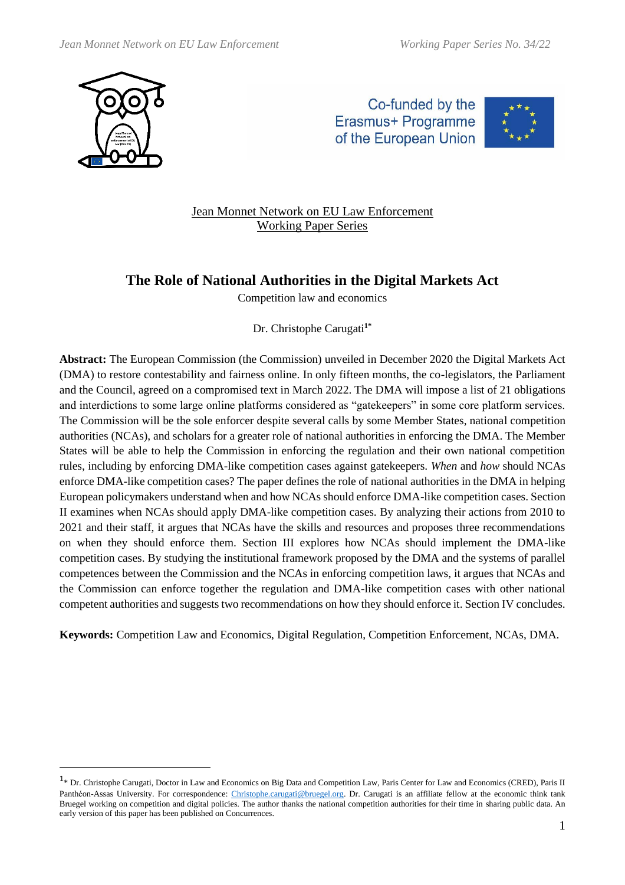





## Jean Monnet Network on EU Law Enforcement Working Paper Series

# **The Role of National Authorities in the Digital Markets Act**

Competition law and economics

Dr. Christophe Carugati**1\***

**Abstract:** The European Commission (the Commission) unveiled in December 2020 the Digital Markets Act (DMA) to restore contestability and fairness online. In only fifteen months, the co-legislators, the Parliament and the Council, agreed on a compromised text in March 2022. The DMA will impose a list of 21 obligations and interdictions to some large online platforms considered as "gatekeepers" in some core platform services. The Commission will be the sole enforcer despite several calls by some Member States, national competition authorities (NCAs), and scholars for a greater role of national authorities in enforcing the DMA. The Member States will be able to help the Commission in enforcing the regulation and their own national competition rules, including by enforcing DMA-like competition cases against gatekeepers. *When* and *how* should NCAs enforce DMA-like competition cases? The paper defines the role of national authorities in the DMA in helping European policymakers understand when and how NCAs should enforce DMA-like competition cases. Section II examines when NCAs should apply DMA-like competition cases. By analyzing their actions from 2010 to 2021 and their staff, it argues that NCAs have the skills and resources and proposes three recommendations on when they should enforce them. Section III explores how NCAs should implement the DMA-like competition cases. By studying the institutional framework proposed by the DMA and the systems of parallel competences between the Commission and the NCAs in enforcing competition laws, it argues that NCAs and the Commission can enforce together the regulation and DMA-like competition cases with other national competent authorities and suggests two recommendations on how they should enforce it. Section IV concludes.

**Keywords:** Competition Law and Economics, Digital Regulation, Competition Enforcement, NCAs, DMA.

<sup>&</sup>lt;sup>1</sup>\* Dr. Christophe Carugati, Doctor in Law and Economics on Big Data and Competition Law, Paris Center for Law and Economics (CRED), Paris II Panthéon-Assas University. For correspondence: [Christophe.carugati@bruegel.org.](mailto:Christophe.carugati@bruegel.org) Dr. Carugati is an affiliate fellow at the economic think tank Bruegel working on competition and digital policies. The author thanks the national competition authorities for their time in sharing public data. An early version of this paper has been published on Concurrences.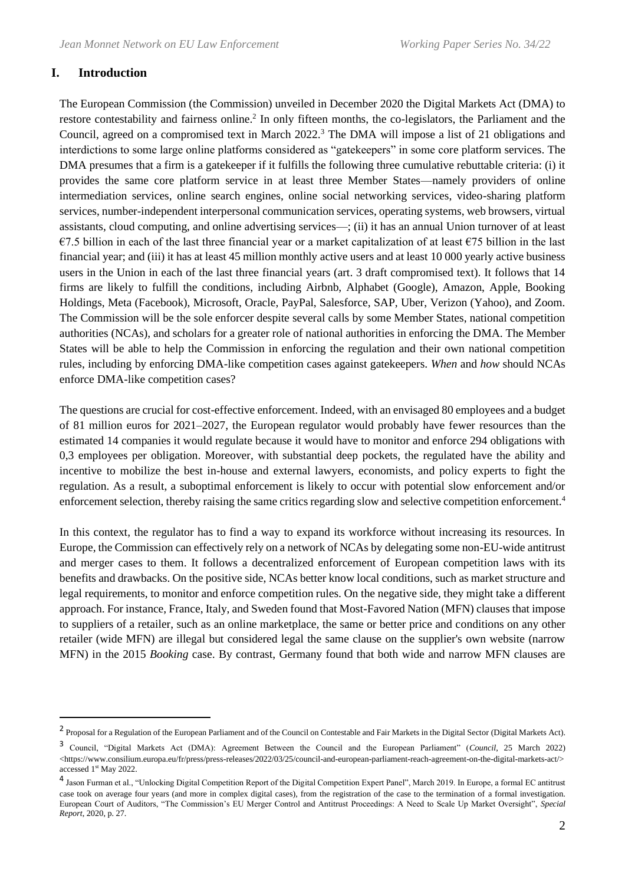#### **I. Introduction**

The European Commission (the Commission) unveiled in December 2020 the Digital Markets Act (DMA) to restore contestability and fairness online.<sup>2</sup> In only fifteen months, the co-legislators, the Parliament and the Council, agreed on a compromised text in March 2022.<sup>3</sup> The DMA will impose a list of 21 obligations and interdictions to some large online platforms considered as "gatekeepers" in some core platform services. The DMA presumes that a firm is a gatekeeper if it fulfills the following three cumulative rebuttable criteria: (i) it provides the same core platform service in at least three Member States—namely providers of online intermediation services, online search engines, online social networking services, video-sharing platform services, number-independent interpersonal communication services, operating systems, web browsers, virtual assistants, cloud computing, and online advertising services—; (ii) it has an annual Union turnover of at least €7.5 billion in each of the last three financial year or a market capitalization of at least €75 billion in the last financial year; and (iii) it has at least 45 million monthly active users and at least 10 000 yearly active business users in the Union in each of the last three financial years (art. 3 draft compromised text). It follows that 14 firms are likely to fulfill the conditions, including Airbnb, Alphabet (Google), Amazon, Apple, Booking Holdings, Meta (Facebook), Microsoft, Oracle, PayPal, Salesforce, SAP, Uber, Verizon (Yahoo), and Zoom. The Commission will be the sole enforcer despite several calls by some Member States, national competition authorities (NCAs), and scholars for a greater role of national authorities in enforcing the DMA. The Member States will be able to help the Commission in enforcing the regulation and their own national competition rules, including by enforcing DMA-like competition cases against gatekeepers. *When* and *how* should NCAs enforce DMA-like competition cases?

The questions are crucial for cost-effective enforcement. Indeed, with an envisaged 80 employees and a budget of 81 million euros for 2021–2027, the European regulator would probably have fewer resources than the estimated 14 companies it would regulate because it would have to monitor and enforce 294 obligations with 0,3 employees per obligation. Moreover, with substantial deep pockets, the regulated have the ability and incentive to mobilize the best in-house and external lawyers, economists, and policy experts to fight the regulation. As a result, a suboptimal enforcement is likely to occur with potential slow enforcement and/or enforcement selection, thereby raising the same critics regarding slow and selective competition enforcement.<sup>4</sup>

In this context, the regulator has to find a way to expand its workforce without increasing its resources. In Europe, the Commission can effectively rely on a network of NCAs by delegating some non-EU-wide antitrust and merger cases to them. It follows a decentralized enforcement of European competition laws with its benefits and drawbacks. On the positive side, NCAs better know local conditions, such as market structure and legal requirements, to monitor and enforce competition rules. On the negative side, they might take a different approach. For instance, France, Italy, and Sweden found that Most-Favored Nation (MFN) clauses that impose to suppliers of a retailer, such as an online marketplace, the same or better price and conditions on any other retailer (wide MFN) are illegal but considered legal the same clause on the supplier's own website (narrow MFN) in the 2015 *Booking* case. By contrast, Germany found that both wide and narrow MFN clauses are

<sup>&</sup>lt;sup>2</sup> Proposal for a Regulation of the European Parliament and of the Council on Contestable and Fair Markets in the Digital Sector (Digital Markets Act).

<sup>3</sup> Council, "Digital Markets Act (DMA): Agreement Between the Council and the European Parliament" (*Council*, 25 March 2022) <https://www.consilium.europa.eu/fr/press/press-releases/2022/03/25/council-and-european-parliament-reach-agreement-on-the-digital-markets-act/> accessed 1<sup>st</sup> May 2022.

<sup>4</sup> Jason Furman et al., "Unlocking Digital Competition Report of the Digital Competition Expert Panel", March 2019. In Europe, a formal EC antitrust case took on average four years (and more in complex digital cases), from the registration of the case to the termination of a formal investigation. European Court of Auditors, "The Commission's EU Merger Control and Antitrust Proceedings: A Need to Scale Up Market Oversight", *Special Report*, 2020, p. 27.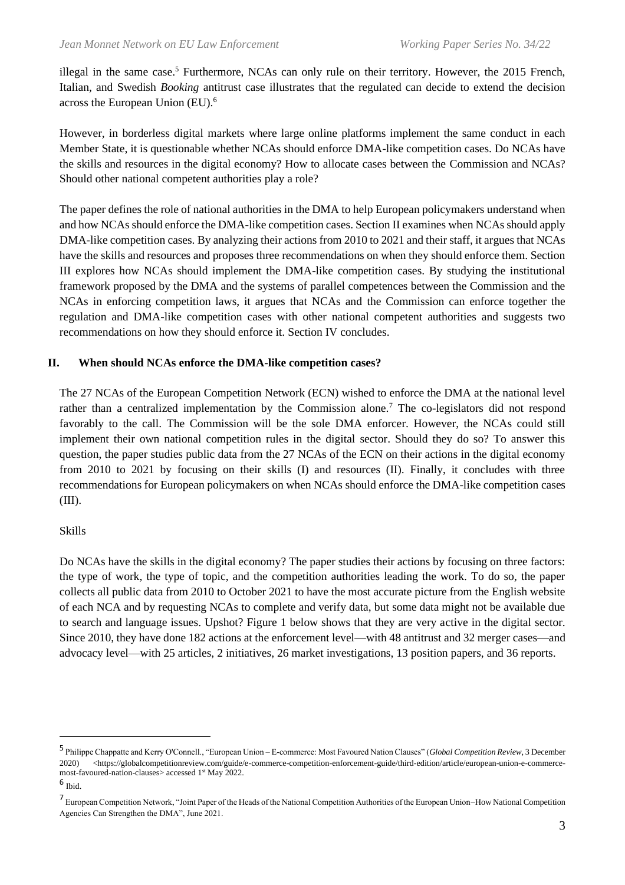illegal in the same case.<sup>5</sup> Furthermore, NCAs can only rule on their territory. However, the 2015 French, Italian, and Swedish *Booking* antitrust case illustrates that the regulated can decide to extend the decision across the European Union (EU).<sup>6</sup>

However, in borderless digital markets where large online platforms implement the same conduct in each Member State, it is questionable whether NCAs should enforce DMA-like competition cases. Do NCAs have the skills and resources in the digital economy? How to allocate cases between the Commission and NCAs? Should other national competent authorities play a role?

The paper defines the role of national authorities in the DMA to help European policymakers understand when and how NCAs should enforce the DMA-like competition cases. Section II examines when NCAs should apply DMA-like competition cases. By analyzing their actions from 2010 to 2021 and their staff, it argues that NCAs have the skills and resources and proposes three recommendations on when they should enforce them. Section III explores how NCAs should implement the DMA-like competition cases. By studying the institutional framework proposed by the DMA and the systems of parallel competences between the Commission and the NCAs in enforcing competition laws, it argues that NCAs and the Commission can enforce together the regulation and DMA-like competition cases with other national competent authorities and suggests two recommendations on how they should enforce it. Section IV concludes.

## **II. When should NCAs enforce the DMA-like competition cases?**

The 27 NCAs of the European Competition Network (ECN) wished to enforce the DMA at the national level rather than a centralized implementation by the Commission alone.<sup>7</sup> The co-legislators did not respond favorably to the call. The Commission will be the sole DMA enforcer. However, the NCAs could still implement their own national competition rules in the digital sector. Should they do so? To answer this question, the paper studies public data from the 27 NCAs of the ECN on their actions in the digital economy from 2010 to 2021 by focusing on their skills (I) and resources (II). Finally, it concludes with three recommendations for European policymakers on when NCAs should enforce the DMA-like competition cases (III).

## Skills

Do NCAs have the skills in the digital economy? The paper studies their actions by focusing on three factors: the type of work, the type of topic, and the competition authorities leading the work. To do so, the paper collects all public data from 2010 to October 2021 to have the most accurate picture from the English website of each NCA and by requesting NCAs to complete and verify data, but some data might not be available due to search and language issues. Upshot? Figure 1 below shows that they are very active in the digital sector. Since 2010, they have done 182 actions at the enforcement level—with 48 antitrust and 32 merger cases—and advocacy level—with 25 articles, 2 initiatives, 26 market investigations, 13 position papers, and 36 reports.

<sup>5</sup> Philippe Chappatte and Kerry O'Connell., "European Union – E-commerce: Most Favoured Nation Clauses" (*Global Competition Review*, 3 December 2020) <https://globalcompetitionreview.com/guide/e-commerce-competition-enforcement-guide/third-edition/article/european-union-e-commercemost-favoured-nation-clauses> accessed 1<sup>st</sup> May 2022.

<sup>6</sup> Ibid.

<sup>&</sup>lt;sup>7</sup> European Competition Network, "Joint Paper of the Heads of the National Competition Authorities of the European Union–How National Competition Agencies Can Strengthen the DMA", June 2021.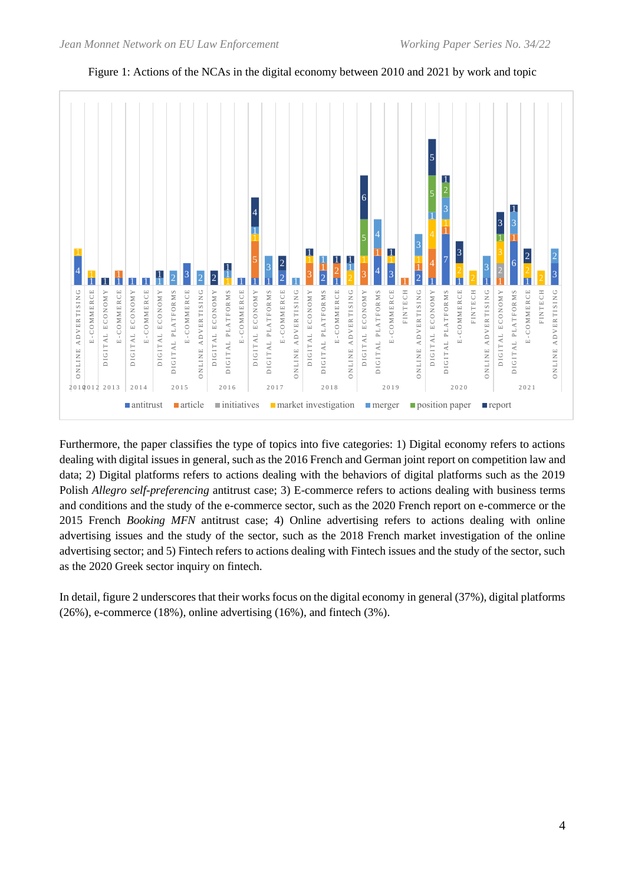

## Figure 1: Actions of the NCAs in the digital economy between 2010 and 2021 by work and topic

Furthermore, the paper classifies the type of topics into five categories: 1) Digital economy refers to actions dealing with digital issues in general, such as the 2016 French and German joint report on competition law and data; 2) Digital platforms refers to actions dealing with the behaviors of digital platforms such as the 2019 Polish *Allegro self-preferencing* antitrust case; 3) E-commerce refers to actions dealing with business terms and conditions and the study of the e-commerce sector, such as the 2020 French report on e-commerce or the 2015 French *Booking MFN* antitrust case; 4) Online advertising refers to actions dealing with online advertising issues and the study of the sector, such as the 2018 French market investigation of the online advertising sector; and 5) Fintech refers to actions dealing with Fintech issues and the study of the sector, such as the 2020 Greek sector inquiry on fintech.

In detail, figure 2 underscores that their works focus on the digital economy in general (37%), digital platforms (26%), e-commerce (18%), online advertising (16%), and fintech (3%).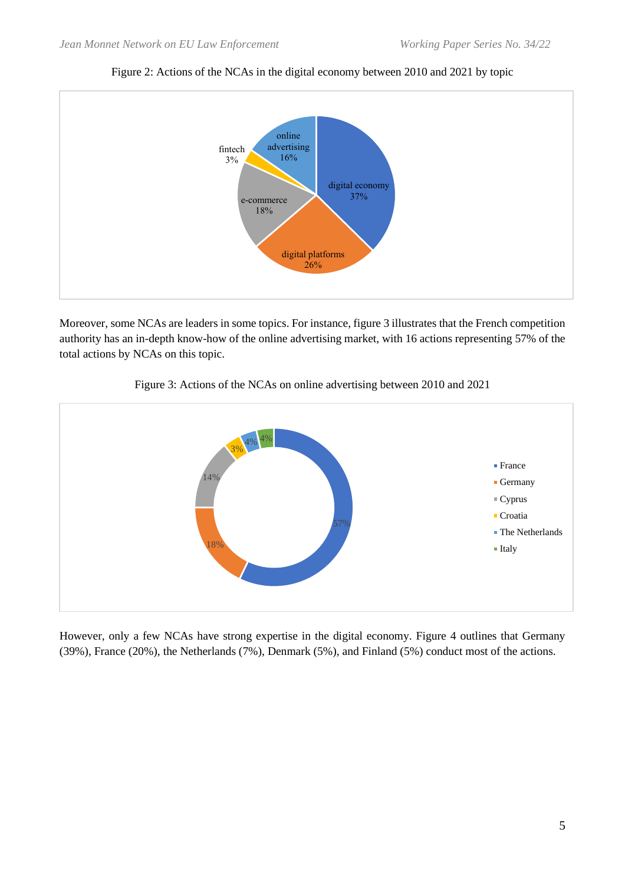

Figure 2: Actions of the NCAs in the digital economy between 2010 and 2021 by topic

Moreover, some NCAs are leaders in some topics. For instance, figure 3 illustrates that the French competition authority has an in-depth know-how of the online advertising market, with 16 actions representing 57% of the total actions by NCAs on this topic.



Figure 3: Actions of the NCAs on online advertising between 2010 and 2021

However, only a few NCAs have strong expertise in the digital economy. Figure 4 outlines that Germany (39%), France (20%), the Netherlands (7%), Denmark (5%), and Finland (5%) conduct most of the actions.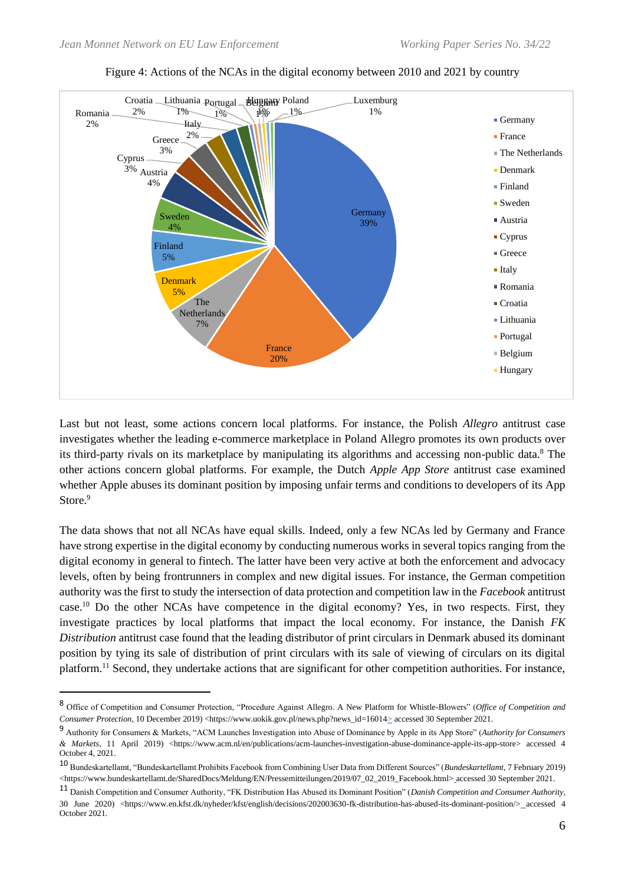



Last but not least, some actions concern local platforms. For instance, the Polish *Allegro* antitrust case investigates whether the leading e-commerce marketplace in Poland Allegro promotes its own products over its third-party rivals on its marketplace by manipulating its algorithms and accessing non-public data.<sup>8</sup> The other actions concern global platforms. For example, the Dutch *Apple App Store* antitrust case examined whether Apple abuses its dominant position by imposing unfair terms and conditions to developers of its App Store.<sup>9</sup>

The data shows that not all NCAs have equal skills. Indeed, only a few NCAs led by Germany and France have strong expertise in the digital economy by conducting numerous works in several topics ranging from the digital economy in general to fintech. The latter have been very active at both the enforcement and advocacy levels, often by being frontrunners in complex and new digital issues. For instance, the German competition authority was the first to study the intersection of data protection and competition law in the *Facebook* antitrust case.<sup>10</sup> Do the other NCAs have competence in the digital economy? Yes, in two respects. First, they investigate practices by local platforms that impact the local economy. For instance, the Danish *FK Distribution* antitrust case found that the leading distributor of print circulars in Denmark abused its dominant position by tying its sale of distribution of print circulars with its sale of viewing of circulars on its digital platform.<sup>11</sup> Second, they undertake actions that are significant for other competition authorities. For instance,

<sup>8</sup> Office of Competition and Consumer Protection, "Procedure Against Allegro. A New Platform for Whistle-Blowers" (*Office of Competition and Consumer Protection*, 10 December 2019) <https://www.uokik.gov.pl/news.php?news\_id=16014> accessed 30 September 2021.

<sup>9</sup> Authority for Consumers & Markets, "ACM Launches Investigation into Abuse of Dominance by Apple in its App Store" (*Authority for Consumers & Markets*, 11 April 2019) <https://www.acm.nl/en/publications/acm-launches-investigation-abuse-dominance-apple-its-app-store> accessed 4 October 4, 2021.

<sup>10</sup> Bundeskartellamt, "Bundeskartellamt Prohibits Facebook from Combining User Data from Different Sources" (*Bundeskartellamt*, 7 February 2019) <https://www.bundeskartellamt.de/SharedDocs/Meldung/EN/Pressemitteilungen/2019/07\_02\_2019\_Facebook.html>\_accessed 30 September 2021.

<sup>11</sup> Danish Competition and Consumer Authority, "FK Distribution Has Abused its Dominant Position" (*Danish Competition and Consumer Authority*, 30 June 2020) <https://www.en.kfst.dk/nyheder/kfst/english/decisions/202003630-fk-distribution-has-abused-its-dominant-position/> accessed 4 October 2021.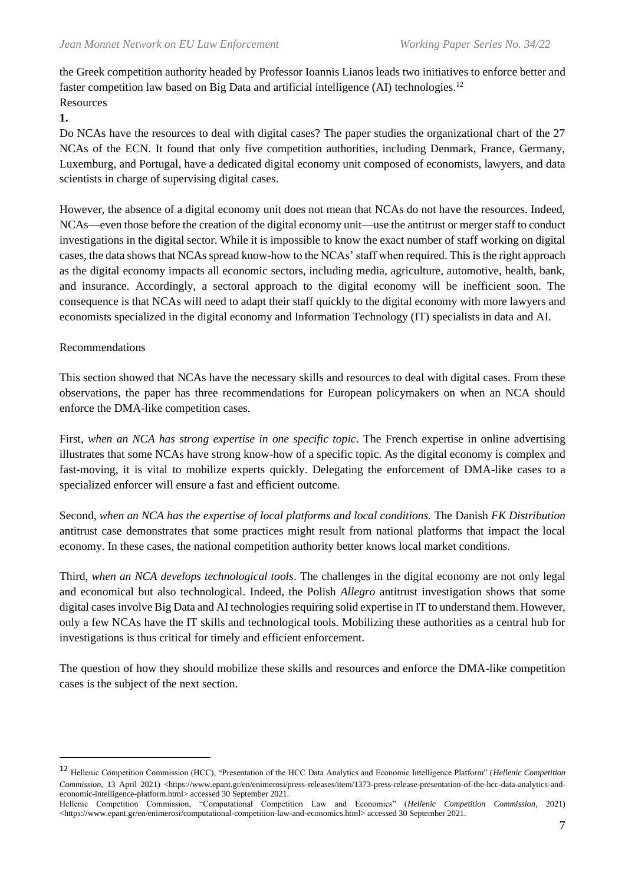the Greek competition authority headed by Professor Ioannis Lianos leads two initiatives to enforce better and faster competition law based on Big Data and artificial intelligence (AI) technologies.<sup>12</sup> **Resources** 

**1.**

Do NCAs have the resources to deal with digital cases? The paper studies the organizational chart of the 27 NCAs of the ECN. It found that only five competition authorities, including Denmark, France, Germany, Luxemburg, and Portugal, have a dedicated digital economy unit composed of economists, lawyers, and data scientists in charge of supervising digital cases.

However, the absence of a digital economy unit does not mean that NCAs do not have the resources. Indeed, NCAs—even those before the creation of the digital economy unit—use the antitrust or merger staff to conduct investigations in the digital sector. While it is impossible to know the exact number of staff working on digital cases, the data shows that NCAs spread know-how to the NCAs' staff when required. This is the right approach as the digital economy impacts all economic sectors, including media, agriculture, automotive, health, bank, and insurance. Accordingly, a sectoral approach to the digital economy will be inefficient soon. The consequence is that NCAs will need to adapt their staff quickly to the digital economy with more lawyers and economists specialized in the digital economy and Information Technology (IT) specialists in data and AI.

#### Recommendations

This section showed that NCAs have the necessary skills and resources to deal with digital cases. From these observations, the paper has three recommendations for European policymakers on when an NCA should enforce the DMA-like competition cases.

First, when an NCA has strong expertise in one specific topic. The French expertise in online advertising illustrates that some NCAs have strong know-how of a specific topic. As the digital economy is complex and fast-moving, it is vital to mobilize experts quickly. Delegating the enforcement of DMA-like cases to a specialized enforcer will ensure a fast and efficient outcome.

Second, *when an NCA has the expertise of local platforms and local conditions.* The Danish *FK Distribution*  antitrust case demonstrates that some practices might result from national platforms that impact the local economy. In these cases, the national competition authority better knows local market conditions.

Third, *when an NCA develops technological tools*. The challenges in the digital economy are not only legal and economical but also technological. Indeed, the Polish *Allegro* antitrust investigation shows that some digital cases involve Big Data and AI technologies requiring solid expertise in IT to understand them. However, only a few NCAs have the IT skills and technological tools. Mobilizing these authorities as a central hub for investigations is thus critical for timely and efficient enforcement.

The question of how they should mobilize these skills and resources and enforce the DMA-like competition cases is the subject of the next section.

<sup>12</sup> Hellenic Competition Commission (HCC), "Presentation of the HCC Data Analytics and Economic Intelligence Platform" (*Hellenic Competition Commission*, 13 April 2021) <https://www.epant.gr/en/enimerosi/press-releases/item/1373-press-release-presentation-of-the-hcc-data-analytics-andeconomic-intelligence-platform.html> accessed 30 September 2021.

Hellenic Competition Commission, "Computational Competition Law and Economics" (*Hellenic Competition Commission*, 2021) <https://www.epant.gr/en/enimerosi/computational-competition-law-and-economics.html> accessed 30 September 2021.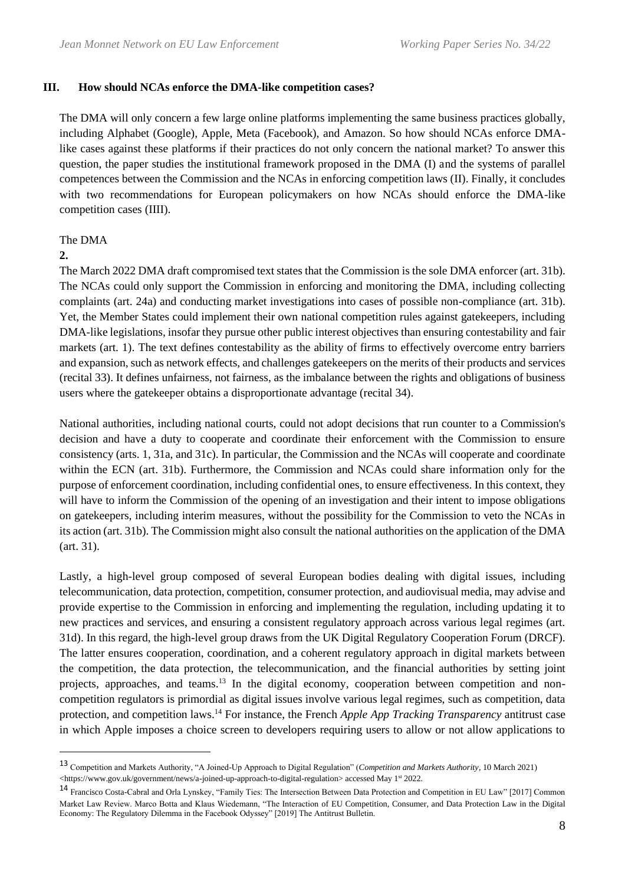#### **III. How should NCAs enforce the DMA-like competition cases?**

The DMA will only concern a few large online platforms implementing the same business practices globally, including Alphabet (Google), Apple, Meta (Facebook), and Amazon. So how should NCAs enforce DMAlike cases against these platforms if their practices do not only concern the national market? To answer this question, the paper studies the institutional framework proposed in the DMA (I) and the systems of parallel competences between the Commission and the NCAs in enforcing competition laws (II). Finally, it concludes with two recommendations for European policymakers on how NCAs should enforce the DMA-like competition cases (IIII).

## The DMA

#### **2.**

The March 2022 DMA draft compromised text states that the Commission is the sole DMA enforcer (art. 31b). The NCAs could only support the Commission in enforcing and monitoring the DMA, including collecting complaints (art. 24a) and conducting market investigations into cases of possible non-compliance (art. 31b). Yet, the Member States could implement their own national competition rules against gatekeepers, including DMA-like legislations, insofar they pursue other public interest objectives than ensuring contestability and fair markets (art. 1). The text defines contestability as the ability of firms to effectively overcome entry barriers and expansion, such as network effects, and challenges gatekeepers on the merits of their products and services (recital 33). It defines unfairness, not fairness, as the imbalance between the rights and obligations of business users where the gatekeeper obtains a disproportionate advantage (recital 34).

National authorities, including national courts, could not adopt decisions that run counter to a Commission's decision and have a duty to cooperate and coordinate their enforcement with the Commission to ensure consistency (arts. 1, 31a, and 31c). In particular, the Commission and the NCAs will cooperate and coordinate within the ECN (art. 31b). Furthermore, the Commission and NCAs could share information only for the purpose of enforcement coordination, including confidential ones, to ensure effectiveness. In this context, they will have to inform the Commission of the opening of an investigation and their intent to impose obligations on gatekeepers, including interim measures, without the possibility for the Commission to veto the NCAs in its action (art. 31b). The Commission might also consult the national authorities on the application of the DMA (art. 31).

Lastly, a high-level group composed of several European bodies dealing with digital issues, including telecommunication, data protection, competition, consumer protection, and audiovisual media, may advise and provide expertise to the Commission in enforcing and implementing the regulation, including updating it to new practices and services, and ensuring a consistent regulatory approach across various legal regimes (art. 31d). In this regard, the high-level group draws from the UK Digital Regulatory Cooperation Forum (DRCF). The latter ensures cooperation, coordination, and a coherent regulatory approach in digital markets between the competition, the data protection, the telecommunication, and the financial authorities by setting joint projects, approaches, and teams.<sup>13</sup> In the digital economy, cooperation between competition and noncompetition regulators is primordial as digital issues involve various legal regimes, such as competition, data protection, and competition laws.<sup>14</sup> For instance, the French *Apple App Tracking Transparency* antitrust case in which Apple imposes a choice screen to developers requiring users to allow or not allow applications to

<sup>13</sup> Competition and Markets Authority, "A Joined-Up Approach to Digital Regulation" (*Competition and Markets Authority*, 10 March 2021) <https://www.gov.uk/government/news/a-joined-up-approach-to-digital-regulation> accessed May 1<sup>st</sup> 2022.

<sup>14</sup> Francisco Costa-Cabral and Orla Lynskey, "Family Ties: The Intersection Between Data Protection and Competition in EU Law" [2017] Common Market Law Review. Marco Botta and Klaus Wiedemann, "The Interaction of EU Competition, Consumer, and Data Protection Law in the Digital Economy: The Regulatory Dilemma in the Facebook Odyssey" [2019] The Antitrust Bulletin.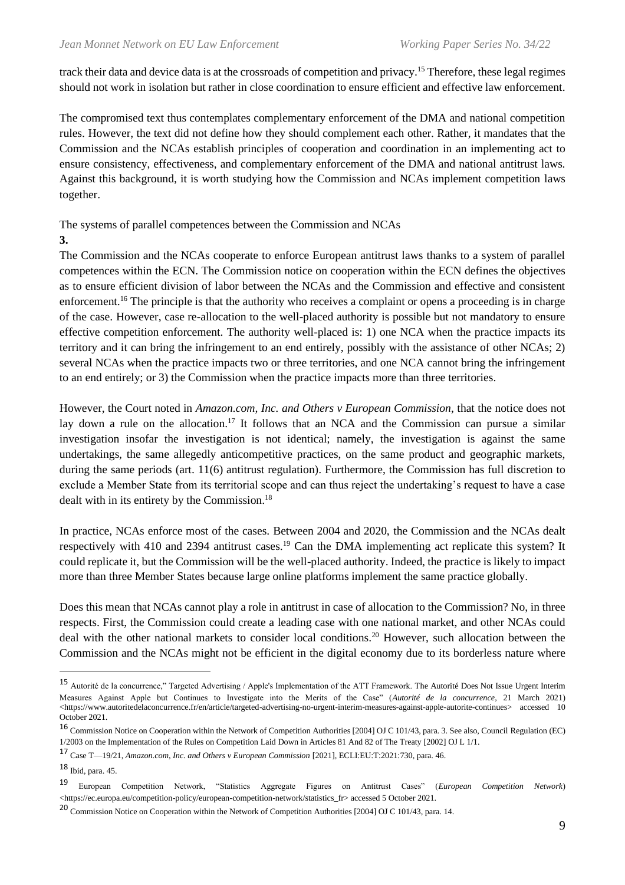track their data and device data is at the crossroads of competition and privacy.<sup>15</sup> Therefore, these legal regimes should not work in isolation but rather in close coordination to ensure efficient and effective law enforcement.

The compromised text thus contemplates complementary enforcement of the DMA and national competition rules. However, the text did not define how they should complement each other. Rather, it mandates that the Commission and the NCAs establish principles of cooperation and coordination in an implementing act to ensure consistency, effectiveness, and complementary enforcement of the DMA and national antitrust laws. Against this background, it is worth studying how the Commission and NCAs implement competition laws together.

The systems of parallel competences between the Commission and NCAs

#### **3.**

The Commission and the NCAs cooperate to enforce European antitrust laws thanks to a system of parallel competences within the ECN. The Commission notice on cooperation within the ECN defines the objectives as to ensure efficient division of labor between the NCAs and the Commission and effective and consistent enforcement.<sup>16</sup> The principle is that the authority who receives a complaint or opens a proceeding is in charge of the case. However, case re-allocation to the well-placed authority is possible but not mandatory to ensure effective competition enforcement. The authority well-placed is: 1) one NCA when the practice impacts its territory and it can bring the infringement to an end entirely, possibly with the assistance of other NCAs; 2) several NCAs when the practice impacts two or three territories, and one NCA cannot bring the infringement to an end entirely; or 3) the Commission when the practice impacts more than three territories.

However, the Court noted in *Amazon.com, Inc. and Others v European Commission*, that the notice does not lay down a rule on the allocation.<sup>17</sup> It follows that an NCA and the Commission can pursue a similar investigation insofar the investigation is not identical; namely, the investigation is against the same undertakings, the same allegedly anticompetitive practices, on the same product and geographic markets, during the same periods (art. 11(6) antitrust regulation). Furthermore, the Commission has full discretion to exclude a Member State from its territorial scope and can thus reject the undertaking's request to have a case dealt with in its entirety by the Commission.<sup>18</sup>

In practice, NCAs enforce most of the cases. Between 2004 and 2020, the Commission and the NCAs dealt respectively with 410 and 2394 antitrust cases.<sup>19</sup> Can the DMA implementing act replicate this system? It could replicate it, but the Commission will be the well-placed authority. Indeed, the practice is likely to impact more than three Member States because large online platforms implement the same practice globally.

Does this mean that NCAs cannot play a role in antitrust in case of allocation to the Commission? No, in three respects. First, the Commission could create a leading case with one national market, and other NCAs could deal with the other national markets to consider local conditions.<sup>20</sup> However, such allocation between the Commission and the NCAs might not be efficient in the digital economy due to its borderless nature where

<sup>15</sup> Autorité de la concurrence," Targeted Advertising / Apple's Implementation of the ATT Framework. The Autorité Does Not Issue Urgent Interim Measures Against Apple but Continues to Investigate into the Merits of the Case" (*Autorité de la concurrence*, 21 March 2021) <https://www.autoritedelaconcurrence.fr/en/article/targeted-advertising-no-urgent-interim-measures-against-apple-autorite-continues> accessed 10 October 2021.

<sup>16</sup> Commission Notice on Cooperation within the Network of Competition Authorities [2004] OJ C 101/43, para. 3. See also, Council Regulation (EC) 1/2003 on the Implementation of the Rules on Competition Laid Down in Articles 81 And 82 of The Treaty [2002] OJ L 1/1.

<sup>17</sup> Case T—19/21, *Amazon.com, Inc. and Others v European Commission* [2021], ECLI:EU:T:2021:730, para. 46.

<sup>18</sup> Ibid, para. 45.

<sup>19</sup> European Competition Network, "Statistics Aggregate Figures on Antitrust Cases" (*European Competition Network*) <https://ec.europa.eu/competition-policy/european-competition-network/statistics\_fr> accessed 5 October 2021.

<sup>20</sup> Commission Notice on Cooperation within the Network of Competition Authorities [2004] OJ C 101/43, para. 14.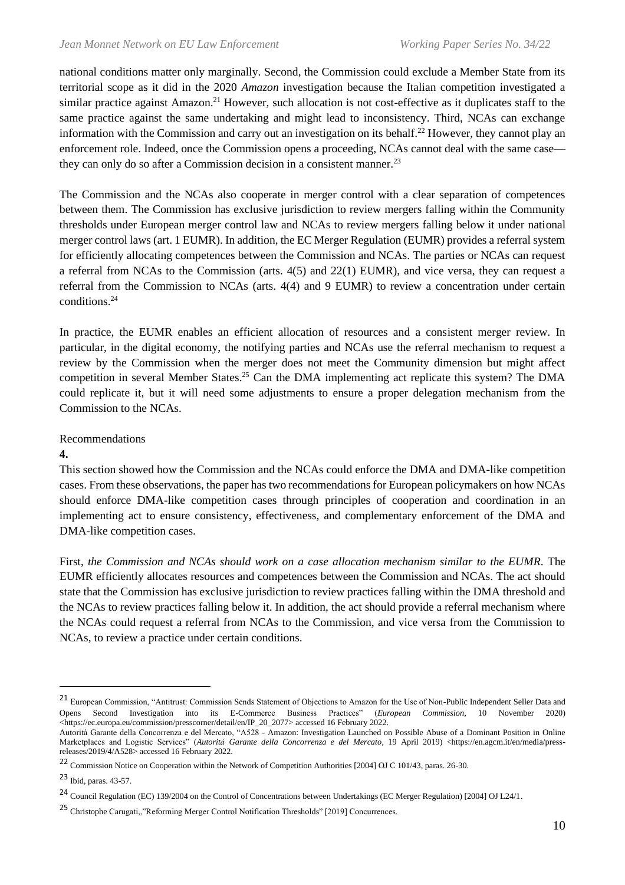national conditions matter only marginally. Second, the Commission could exclude a Member State from its territorial scope as it did in the 2020 *Amazon* investigation because the Italian competition investigated a similar practice against Amazon.<sup>21</sup> However, such allocation is not cost-effective as it duplicates staff to the same practice against the same undertaking and might lead to inconsistency. Third, NCAs can exchange information with the Commission and carry out an investigation on its behalf.<sup>22</sup> However, they cannot play an enforcement role. Indeed, once the Commission opens a proceeding, NCAs cannot deal with the same case they can only do so after a Commission decision in a consistent manner.<sup>23</sup>

The Commission and the NCAs also cooperate in merger control with a clear separation of competences between them. The Commission has exclusive jurisdiction to review mergers falling within the Community thresholds under European merger control law and NCAs to review mergers falling below it under national merger control laws (art. 1 EUMR). In addition, the EC Merger Regulation (EUMR) provides a referral system for efficiently allocating competences between the Commission and NCAs. The parties or NCAs can request a referral from NCAs to the Commission (arts. 4(5) and 22(1) EUMR), and vice versa, they can request a referral from the Commission to NCAs (arts. 4(4) and 9 EUMR) to review a concentration under certain conditions.<sup>24</sup>

In practice, the EUMR enables an efficient allocation of resources and a consistent merger review. In particular, in the digital economy, the notifying parties and NCAs use the referral mechanism to request a review by the Commission when the merger does not meet the Community dimension but might affect competition in several Member States.<sup>25</sup> Can the DMA implementing act replicate this system? The DMA could replicate it, but it will need some adjustments to ensure a proper delegation mechanism from the Commission to the NCAs.

#### Recommendations

#### **4.**

This section showed how the Commission and the NCAs could enforce the DMA and DMA-like competition cases. From these observations, the paper has two recommendations for European policymakers on how NCAs should enforce DMA-like competition cases through principles of cooperation and coordination in an implementing act to ensure consistency, effectiveness, and complementary enforcement of the DMA and DMA-like competition cases.

First, *the Commission and NCAs should work on a case allocation mechanism similar to the EUMR*. The EUMR efficiently allocates resources and competences between the Commission and NCAs. The act should state that the Commission has exclusive jurisdiction to review practices falling within the DMA threshold and the NCAs to review practices falling below it. In addition, the act should provide a referral mechanism where the NCAs could request a referral from NCAs to the Commission, and vice versa from the Commission to NCAs, to review a practice under certain conditions.

<sup>21</sup> European Commission, "Antitrust: Commission Sends Statement of Objections to Amazon for the Use of Non-Public Independent Seller Data and Opens Second Investigation into its E-Commerce Business Practices" (*European Commission*, 10 November 2020) <https://ec.europa.eu/commission/presscorner/detail/en/IP\_20\_2077> accessed 16 February 2022.

Autorità Garante della Concorrenza e del Mercato, "A528 - Amazon: Investigation Launched on Possible Abuse of a Dominant Position in Online Marketplaces and Logistic Services" (*Autorità Garante della Concorrenza e del Mercato*, 19 April 2019) <https://en.agcm.it/en/media/pressreleases/2019/4/A528> accessed 16 February 2022.

<sup>&</sup>lt;sup>22</sup> Commission Notice on Cooperation within the Network of Competition Authorities [2004] OJ C 101/43, paras. 26-30.

<sup>23</sup> Ibid, paras. 43-57.

<sup>&</sup>lt;sup>24</sup> Council Regulation (EC) 139/2004 on the Control of Concentrations between Undertakings (EC Merger Regulation) [2004] OJ L24/1.

<sup>25</sup> Christophe Carugati,,"Reforming Merger Control Notification Thresholds" [2019] Concurrences.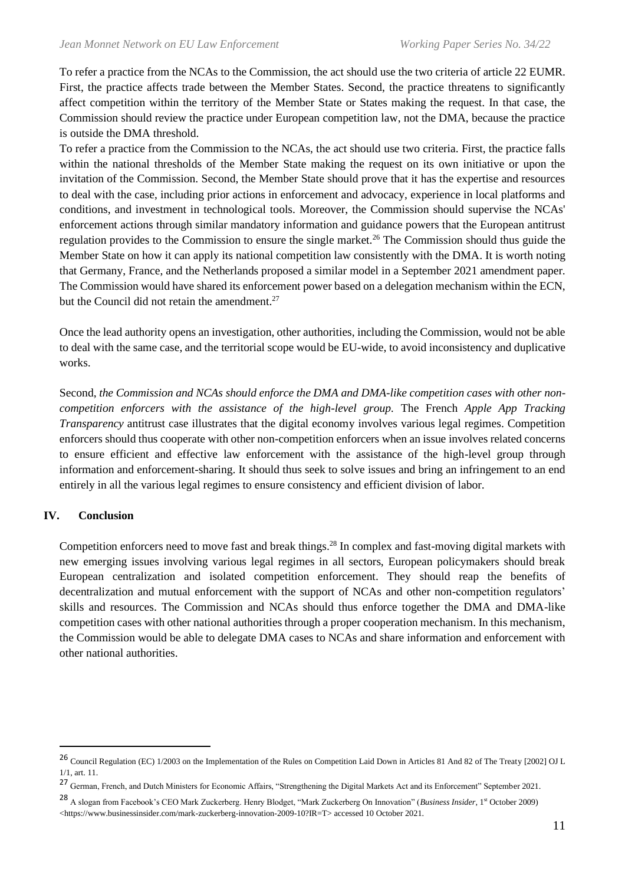To refer a practice from the NCAs to the Commission, the act should use the two criteria of article 22 EUMR. First, the practice affects trade between the Member States. Second, the practice threatens to significantly affect competition within the territory of the Member State or States making the request. In that case, the Commission should review the practice under European competition law, not the DMA, because the practice is outside the DMA threshold.

To refer a practice from the Commission to the NCAs, the act should use two criteria. First, the practice falls within the national thresholds of the Member State making the request on its own initiative or upon the invitation of the Commission. Second, the Member State should prove that it has the expertise and resources to deal with the case, including prior actions in enforcement and advocacy, experience in local platforms and conditions, and investment in technological tools. Moreover, the Commission should supervise the NCAs' enforcement actions through similar mandatory information and guidance powers that the European antitrust regulation provides to the Commission to ensure the single market.<sup>26</sup> The Commission should thus guide the Member State on how it can apply its national competition law consistently with the DMA. It is worth noting that Germany, France, and the Netherlands proposed a similar model in a September 2021 amendment paper. The Commission would have shared its enforcement power based on a delegation mechanism within the ECN, but the Council did not retain the amendment. $27$ 

Once the lead authority opens an investigation, other authorities, including the Commission, would not be able to deal with the same case, and the territorial scope would be EU-wide, to avoid inconsistency and duplicative works.

Second, *the Commission and NCAs should enforce the DMA and DMA-like competition cases with other noncompetition enforcers with the assistance of the high-level group.* The French *Apple App Tracking Transparency* antitrust case illustrates that the digital economy involves various legal regimes. Competition enforcers should thus cooperate with other non-competition enforcers when an issue involves related concerns to ensure efficient and effective law enforcement with the assistance of the high-level group through information and enforcement-sharing. It should thus seek to solve issues and bring an infringement to an end entirely in all the various legal regimes to ensure consistency and efficient division of labor.

#### **IV. Conclusion**

Competition enforcers need to move fast and break things.<sup>28</sup> In complex and fast-moving digital markets with new emerging issues involving various legal regimes in all sectors, European policymakers should break European centralization and isolated competition enforcement. They should reap the benefits of decentralization and mutual enforcement with the support of NCAs and other non-competition regulators' skills and resources. The Commission and NCAs should thus enforce together the DMA and DMA-like competition cases with other national authorities through a proper cooperation mechanism. In this mechanism, the Commission would be able to delegate DMA cases to NCAs and share information and enforcement with other national authorities.

<sup>26</sup> Council Regulation (EC) 1/2003 on the Implementation of the Rules on Competition Laid Down in Articles 81 And 82 of The Treaty [2002] OJ L 1/1, art. 11.

<sup>&</sup>lt;sup>27</sup> German, French, and Dutch Ministers for Economic Affairs, "Strengthening the Digital Markets Act and its Enforcement" September 2021.

<sup>28</sup> A slogan from Facebook's CEO Mark Zuckerberg. Henry Blodget, "Mark Zuckerberg On Innovation" (*Business Insider*, 1st October 2009) <https://www.businessinsider.com/mark-zuckerberg-innovation-2009-10?IR=T> accessed 10 October 2021.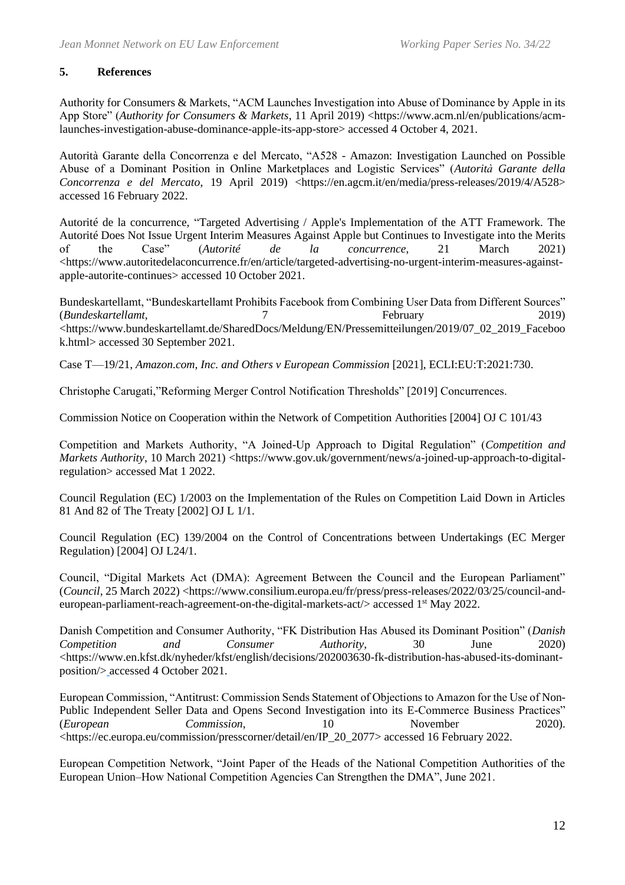## **5. References**

Authority for Consumers & Markets, "ACM Launches Investigation into Abuse of Dominance by Apple in its App Store" (*Authority for Consumers & Markets*, 11 April 2019) <https://www.acm.nl/en/publications/acmlaunches-investigation-abuse-dominance-apple-its-app-store> accessed 4 October 4, 2021.

Autorità Garante della Concorrenza e del Mercato, "A528 - Amazon: Investigation Launched on Possible Abuse of a Dominant Position in Online Marketplaces and Logistic Services" (*Autorità Garante della Concorrenza e del Mercato*, 19 April 2019) <https://en.agcm.it/en/media/press-releases/2019/4/A528> accessed 16 February 2022.

Autorité de la concurrence, "Targeted Advertising / Apple's Implementation of the ATT Framework. The Autorité Does Not Issue Urgent Interim Measures Against Apple but Continues to Investigate into the Merits of the Case" (*Autorité de la concurrence*, 21 March 2021) <https://www.autoritedelaconcurrence.fr/en/article/targeted-advertising-no-urgent-interim-measures-againstapple-autorite-continues> accessed 10 October 2021.

Bundeskartellamt, "Bundeskartellamt Prohibits Facebook from Combining User Data from Different Sources" (*Bundeskartellamt*, 7 February 2019) <https://www.bundeskartellamt.de/SharedDocs/Meldung/EN/Pressemitteilungen/2019/07\_02\_2019\_Faceboo k.html> accessed 30 September 2021.

Case T—19/21, *Amazon.com, Inc. and Others v European Commission* [2021], ECLI:EU:T:2021:730.

Christophe Carugati,"Reforming Merger Control Notification Thresholds" [2019] Concurrences.

Commission Notice on Cooperation within the Network of Competition Authorities [2004] OJ C 101/43

Competition and Markets Authority, "A Joined-Up Approach to Digital Regulation" (*Competition and Markets Authority*, 10 March 2021) <https://www.gov.uk/government/news/a-joined-up-approach-to-digitalregulation> accessed Mat 1 2022.

Council Regulation (EC) 1/2003 on the Implementation of the Rules on Competition Laid Down in Articles 81 And 82 of The Treaty [2002] OJ L 1/1.

Council Regulation (EC) 139/2004 on the Control of Concentrations between Undertakings (EC Merger Regulation) [2004] OJ L24/1.

Council, "Digital Markets Act (DMA): Agreement Between the Council and the European Parliament" (*Council*, 25 March 2022) <https://www.consilium.europa.eu/fr/press/press-releases/2022/03/25/council-andeuropean-parliament-reach-agreement-on-the-digital-markets-act/> accessed 1<sup>st</sup> May 2022.

Danish Competition and Consumer Authority, "FK Distribution Has Abused its Dominant Position" (*Danish Competition and Consumer Authority*, 30 June 2020) <https://www.en.kfst.dk/nyheder/kfst/english/decisions/202003630-fk-distribution-has-abused-its-dominantposition/> accessed 4 October 2021.

European Commission, "Antitrust: Commission Sends Statement of Objections to Amazon for the Use of Non-Public Independent Seller Data and Opens Second Investigation into its E-Commerce Business Practices" (*European Commission*, 10 November 2020). <https://ec.europa.eu/commission/presscorner/detail/en/IP\_20\_2077> accessed 16 February 2022.

European Competition Network, "Joint Paper of the Heads of the National Competition Authorities of the European Union–How National Competition Agencies Can Strengthen the DMA", June 2021.